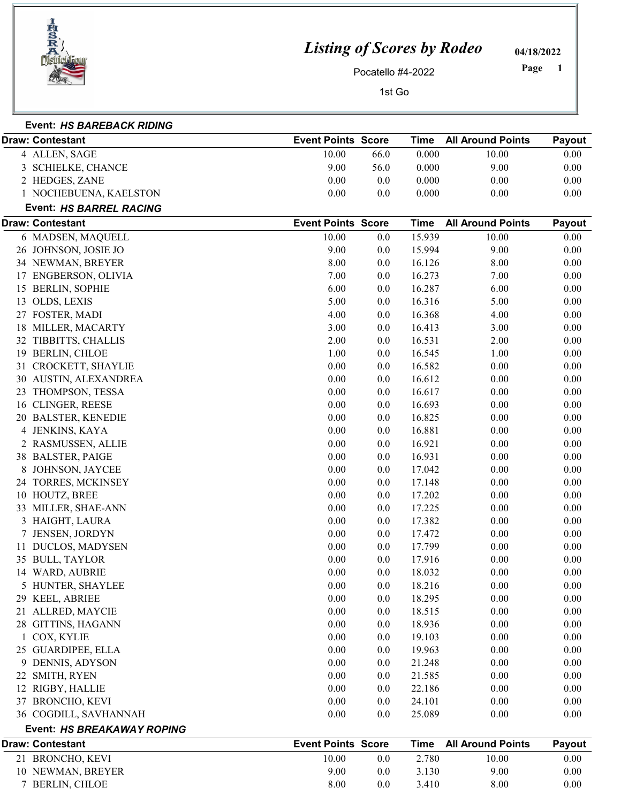

Event: HS BAREBACK RIDING

## Listing of Scores by Rodeo

04/18/2022

Pocatello #4-2022

1 Page

1st Go

|    | Draw: Contestant               | <b>Event Points Score</b> |         | Time        | <b>All Around Points</b> | Payout   |
|----|--------------------------------|---------------------------|---------|-------------|--------------------------|----------|
|    | 4 ALLEN, SAGE                  | 10.00                     | 66.0    | 0.000       | 10.00                    | 0.00     |
|    | 3 SCHIELKE, CHANCE             | 9.00                      | 56.0    | 0.000       | 9.00                     | 0.00     |
|    | 2 HEDGES, ZANE                 | 0.00                      | 0.0     | 0.000       | 0.00                     | 0.00     |
|    | 1 NOCHEBUENA, KAELSTON         | 0.00                      | 0.0     | 0.000       | 0.00                     | 0.00     |
|    | <b>Event: HS BARREL RACING</b> |                           |         |             |                          |          |
|    | Draw: Contestant               | <b>Event Points Score</b> |         | <b>Time</b> | <b>All Around Points</b> | Payout   |
|    | 6 MADSEN, MAQUELL              | 10.00                     | 0.0     | 15.939      | 10.00                    | 0.00     |
|    | 26 JOHNSON, JOSIE JO           | 9.00                      | 0.0     | 15.994      | 9.00                     | 0.00     |
|    | 34 NEWMAN, BREYER              | 8.00                      | 0.0     | 16.126      | 8.00                     | 0.00     |
|    | 17 ENGBERSON, OLIVIA           | 7.00                      | 0.0     | 16.273      | 7.00                     | 0.00     |
|    | 15 BERLIN, SOPHIE              | 6.00                      | 0.0     | 16.287      | 6.00                     | 0.00     |
|    | 13 OLDS, LEXIS                 | 5.00                      | 0.0     | 16.316      | 5.00                     | 0.00     |
|    | 27 FOSTER, MADI                | 4.00                      | 0.0     | 16.368      | 4.00                     | 0.00     |
|    | 18 MILLER, MACARTY             | 3.00                      | 0.0     | 16.413      | 3.00                     | 0.00     |
| 32 | TIBBITTS, CHALLIS              | 2.00                      | 0.0     | 16.531      | 2.00                     | 0.00     |
|    | 19 BERLIN, CHLOE               | 1.00                      | 0.0     | 16.545      | 1.00                     | 0.00     |
|    | 31 CROCKETT, SHAYLIE           | 0.00                      | 0.0     | 16.582      | 0.00                     | 0.00     |
|    | 30 AUSTIN, ALEXANDREA          | 0.00                      | 0.0     | 16.612      | 0.00                     | 0.00     |
| 23 | THOMPSON, TESSA                | 0.00                      | 0.0     | 16.617      | 0.00                     | 0.00     |
|    | 16 CLINGER, REESE              | 0.00                      | 0.0     | 16.693      | 0.00                     | 0.00     |
|    | 20 BALSTER, KENEDIE            | 0.00                      | 0.0     | 16.825      | 0.00                     | 0.00     |
|    | 4 JENKINS, KAYA                | 0.00                      | 0.0     | 16.881      | 0.00                     | 0.00     |
|    | 2 RASMUSSEN, ALLIE             | 0.00                      | 0.0     | 16.921      | 0.00                     | 0.00     |
|    | 38 BALSTER, PAIGE              | 0.00                      | 0.0     | 16.931      | 0.00                     | 0.00     |
|    | 8 JOHNSON, JAYCEE              | 0.00                      | 0.0     | 17.042      | 0.00                     | 0.00     |
|    | 24 TORRES, MCKINSEY            | 0.00                      | 0.0     | 17.148      | 0.00                     | 0.00     |
|    | 10 HOUTZ, BREE                 | 0.00                      | 0.0     | 17.202      | 0.00                     | 0.00     |
|    | 33 MILLER, SHAE-ANN            | 0.00                      | 0.0     | 17.225      | 0.00                     | 0.00     |
|    | 3 HAIGHT, LAURA                | 0.00                      | 0.0     | 17.382      | 0.00                     | 0.00     |
|    | 7 JENSEN, JORDYN               | 0.00                      | 0.0     | 17.472      | 0.00                     | 0.00     |
|    | 11 DUCLOS, MADYSEN             | 0.00                      | 0.0     | 17.799      | 0.00                     | 0.00     |
|    | 35 BULL, TAYLOR                | 0.00                      | 0.0     | 17.916      | 0.00                     | 0.00     |
|    | 14 WARD, AUBRIE                | 0.00                      | 0.0     | 18.032      | 0.00                     | 0.00     |
|    | 5 HUNTER, SHAYLEE              | 0.00                      | $0.0\,$ | 18.216      | 0.00                     | $0.00\,$ |
|    | 29 KEEL, ABRIEE                | 0.00                      | $0.0\,$ | 18.295      | 0.00                     | 0.00     |
|    | 21 ALLRED, MAYCIE              | 0.00                      | 0.0     | 18.515      | 0.00                     | 0.00     |
|    | 28 GITTINS, HAGANN             | 0.00                      | 0.0     | 18.936      | 0.00                     | 0.00     |
|    | 1 COX, KYLIE                   | 0.00                      | 0.0     | 19.103      | 0.00                     | 0.00     |
|    | 25 GUARDIPEE, ELLA             | 0.00                      | $0.0\,$ | 19.963      | 0.00                     | 0.00     |
|    | 9 DENNIS, ADYSON               | 0.00                      | 0.0     | 21.248      | 0.00                     | 0.00     |
|    | 22 SMITH, RYEN                 | 0.00                      | 0.0     | 21.585      | 0.00                     | 0.00     |
|    | 12 RIGBY, HALLIE               | 0.00                      | 0.0     | 22.186      | 0.00                     | 0.00     |
|    | 37 BRONCHO, KEVI               | 0.00                      | 0.0     | 24.101      | 0.00                     | 0.00     |
|    | 36 COGDILL, SAVHANNAH          | 0.00                      | 0.0     | 25.089      | 0.00                     | 0.00     |
|    | Event: HS BREAKAWAY ROPING     |                           |         |             |                          |          |
|    | Draw: Contestant               | <b>Event Points Score</b> |         | <b>Time</b> | <b>All Around Points</b> | Payout   |
|    | 21 BRONCHO, KEVI               | 10.00                     | 0.0     | 2.780       | 10.00                    | 0.00     |
|    | 10 NEWMAN, BREYER              | 9.00                      | 0.0     | 3.130       | 9.00                     | 0.00     |
|    | 7 BERLIN, CHLOE                | 8.00                      | 0.0     | 3.410       | 8.00                     | 0.00     |
|    |                                |                           |         |             |                          |          |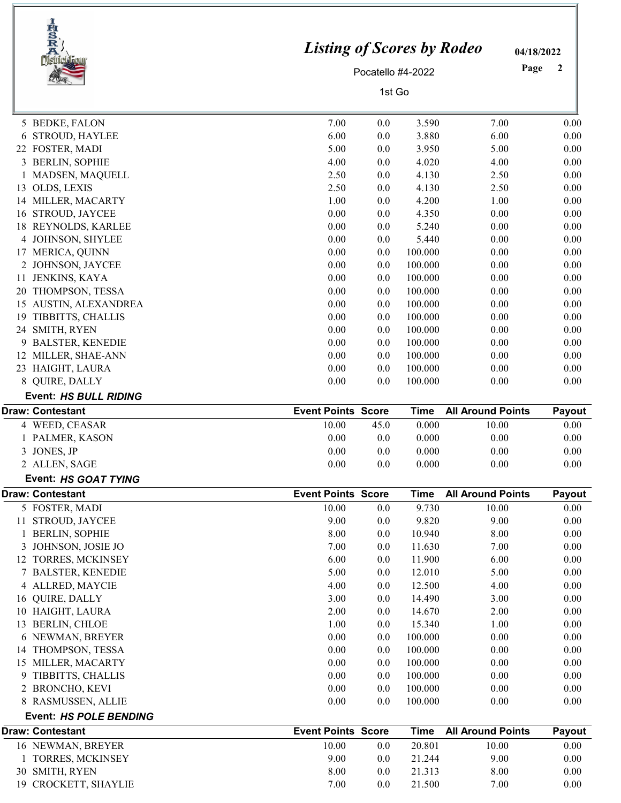|    | IRSRA<br>District Four                 | <b>Listing of Scores by Rodeo</b> | Pocatello #4-2022 |                  |                          | 04/18/2022<br>Page<br>2 |
|----|----------------------------------------|-----------------------------------|-------------------|------------------|--------------------------|-------------------------|
|    |                                        |                                   | 1st Go            |                  |                          |                         |
|    | 5 BEDKE, FALON                         | 7.00                              | 0.0               | 3.590            | 7.00                     | 0.00                    |
| 6  | <b>STROUD, HAYLEE</b>                  | 6.00                              | 0.0               | 3.880            | 6.00                     | 0.00                    |
|    | 22 FOSTER, MADI                        | 5.00                              | 0.0               | 3.950            | 5.00                     | 0.00                    |
|    | 3 BERLIN, SOPHIE                       | 4.00                              | 0.0               | 4.020            | 4.00                     | 0.00                    |
|    | MADSEN, MAQUELL                        | 2.50                              | 0.0               | 4.130            | 2.50                     | 0.00                    |
|    | 13 OLDS, LEXIS                         | 2.50                              | 0.0               | 4.130            | 2.50                     | 0.00                    |
|    | 14 MILLER, MACARTY                     | 1.00                              | 0.0               | 4.200            | 1.00                     | 0.00                    |
|    | 16 STROUD, JAYCEE                      | 0.00                              | 0.0               | 4.350            | 0.00                     | 0.00                    |
| 18 | REYNOLDS, KARLEE                       | 0.00                              | 0.0               | 5.240            | 0.00                     | 0.00                    |
|    | 4 JOHNSON, SHYLEE                      | 0.00                              | 0.0               | 5.440            | 0.00                     | 0.00                    |
|    | 17 MERICA, QUINN                       | 0.00                              | 0.0               | 100.000          | 0.00                     | 0.00                    |
|    | 2 JOHNSON, JAYCEE                      | 0.00                              | 0.0               | 100.000          | 0.00                     | 0.00                    |
| 11 | JENKINS, KAYA                          | 0.00                              | 0.0               | 100.000          | 0.00                     | 0.00                    |
|    | 20 THOMPSON, TESSA                     | 0.00                              | 0.0               | 100.000          | 0.00                     | 0.00                    |
| 15 | AUSTIN, ALEXANDREA                     | 0.00                              | 0.0               | 100.000          | 0.00                     | 0.00                    |
| 19 | TIBBITTS, CHALLIS                      | 0.00                              | 0.0               | 100.000          | 0.00                     | 0.00                    |
|    | 24 SMITH, RYEN                         | 0.00                              | 0.0               | 100.000          | 0.00                     | 0.00                    |
|    | 9 BALSTER, KENEDIE                     | 0.00                              | 0.0               | 100.000          | 0.00                     | 0.00                    |
|    | 12 MILLER, SHAE-ANN                    | 0.00                              | 0.0               | 100.000          | 0.00                     | 0.00                    |
|    | 23 HAIGHT, LAURA                       | 0.00                              | 0.0               | 100.000          | 0.00                     | 0.00                    |
|    | 8 QUIRE, DALLY                         | 0.00                              | 0.0               | 100.000          | 0.00                     | 0.00                    |
|    | <b>Event: HS BULL RIDING</b>           |                                   |                   |                  |                          |                         |
|    | <b>Draw: Contestant</b>                | <b>Event Points Score</b>         |                   | <b>Time</b>      | <b>All Around Points</b> | Payout                  |
|    |                                        |                                   |                   |                  |                          |                         |
|    | 4 WEED, CEASAR                         | 10.00                             | 45.0              | 0.000            | 10.00                    | 0.00                    |
|    | PALMER, KASON                          | 0.00                              | 0.0               | 0.000            | 0.00                     | 0.00                    |
|    | 3 JONES, JP                            | 0.00                              | 0.0               | 0.000            | 0.00                     | 0.00                    |
|    | 2 ALLEN, SAGE                          | $0.00\,$                          | 0.0               | 0.000            | $0.00\,$                 | $0.00\,$                |
|    | Event: HS GOAT TYING                   |                                   |                   |                  |                          |                         |
|    | <b>Draw: Contestant</b>                | <b>Event Points Score</b>         |                   | <b>Time</b>      | <b>All Around Points</b> | Payout                  |
|    | 5 FOSTER, MADI                         | 10.00                             | 0.0               | 9.730            | 10.00                    | 0.00                    |
|    | 11 STROUD, JAYCEE                      | 9.00                              | 0.0               | 9.820            | 9.00                     | 0.00                    |
|    | 1 BERLIN, SOPHIE                       | 8.00                              | 0.0               | 10.940           | 8.00                     | 0.00                    |
| 3  | JOHNSON, JOSIE JO                      | 7.00                              | 0.0               | 11.630           | 7.00                     | 0.00                    |
|    | 12 TORRES, MCKINSEY                    | 6.00                              | 0.0               | 11.900           | 6.00                     | 0.00                    |
|    | 7 BALSTER, KENEDIE                     | 5.00                              | 0.0               | 12.010           | 5.00                     | 0.00                    |
|    | 4 ALLRED, MAYCIE                       | 4.00                              | 0.0               | 12.500           | 4.00                     | 0.00                    |
|    | 16 QUIRE, DALLY                        | 3.00                              | 0.0               | 14.490           | 3.00                     | 0.00                    |
|    | 10 HAIGHT, LAURA                       | 2.00                              | 0.0               | 14.670           | 2.00                     | 0.00                    |
|    | 13 BERLIN, CHLOE                       | 1.00                              | 0.0               | 15.340           | 1.00                     | 0.00                    |
|    | 6 NEWMAN, BREYER                       | 0.00                              | 0.0               | 100.000          | 0.00                     | 0.00                    |
|    | 14 THOMPSON, TESSA                     | 0.00                              | 0.0               | 100.000          | 0.00                     | 0.00                    |
|    | 15 MILLER, MACARTY                     | 0.00                              | 0.0               | 100.000          | 0.00                     | 0.00                    |
| 9  | TIBBITTS, CHALLIS                      | 0.00                              | 0.0               | 100.000          | 0.00                     | 0.00                    |
|    | 2 BRONCHO, KEVI                        | 0.00                              | 0.0               | 100.000          | 0.00                     | 0.00                    |
|    | 8 RASMUSSEN, ALLIE                     | 0.00                              | 0.0               | 100.000          | 0.00                     | 0.00                    |
|    | <b>Event: HS POLE BENDING</b>          |                                   |                   |                  |                          |                         |
|    | <b>Draw: Contestant</b>                | <b>Event Points Score</b>         |                   | <b>Time</b>      | <b>All Around Points</b> | Payout                  |
|    | 16 NEWMAN, BREYER                      | 10.00                             | 0.0               | 20.801           | 10.00                    | 0.00                    |
|    | <b>TORRES, MCKINSEY</b>                | 9.00                              | 0.0               | 21.244           | 9.00                     | 0.00                    |
|    | 30 SMITH, RYEN<br>19 CROCKETT, SHAYLIE | 8.00<br>7.00                      | 0.0<br>0.0        | 21.313<br>21.500 | 8.00<br>7.00             | 0.00<br>0.00            |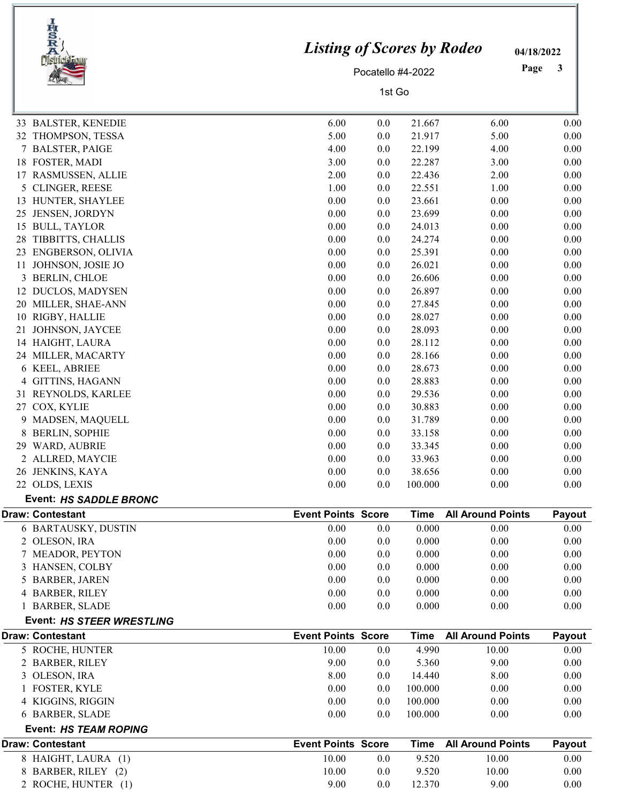|    | <b>IngRA</b><br><b>District Four</b> | <b>Listing of Scores by Rodeo</b> |                   |             |                          | 04/18/2022 |
|----|--------------------------------------|-----------------------------------|-------------------|-------------|--------------------------|------------|
|    |                                      |                                   | Pocatello #4-2022 |             |                          | Page<br>3  |
|    |                                      | 1st Go                            |                   |             |                          |            |
|    | 33 BALSTER, KENEDIE                  | 6.00                              | 0.0               | 21.667      | 6.00                     | 0.00       |
|    | 32 THOMPSON, TESSA                   | 5.00                              | $0.0\,$           | 21.917      | 5.00                     | 0.00       |
|    | 7 BALSTER, PAIGE                     | 4.00                              | 0.0               | 22.199      | 4.00                     | 0.00       |
|    | 18 FOSTER, MADI                      | 3.00                              | $0.0\,$           | 22.287      | 3.00                     | 0.00       |
|    | 17 RASMUSSEN, ALLIE                  | 2.00                              | 0.0               | 22.436      | 2.00                     | 0.00       |
|    | 5 CLINGER, REESE                     | 1.00                              | $0.0\,$           | 22.551      | 1.00                     | 0.00       |
|    | 13 HUNTER, SHAYLEE                   | 0.00                              | 0.0               | 23.661      | 0.00                     | 0.00       |
| 25 | JENSEN, JORDYN                       | 0.00                              | $0.0\,$           | 23.699      | 0.00                     | 0.00       |
| 15 | <b>BULL, TAYLOR</b>                  | 0.00                              | 0.0               | 24.013      | 0.00                     | 0.00       |
| 28 | TIBBITTS, CHALLIS                    | 0.00                              | 0.0               | 24.274      | 0.00                     | 0.00       |
|    | 23 ENGBERSON, OLIVIA                 | 0.00                              | 0.0               | 25.391      | 0.00                     | 0.00       |
| 11 | JOHNSON, JOSIE JO                    | 0.00                              | 0.0               | 26.021      | 0.00                     | 0.00       |
|    | 3 BERLIN, CHLOE                      | 0.00                              | 0.0               | 26.606      | 0.00                     | 0.00       |
| 12 | <b>DUCLOS, MADYSEN</b>               | 0.00                              | 0.0               | 26.897      | 0.00                     | 0.00       |
|    | 20 MILLER, SHAE-ANN                  | 0.00                              | $0.0\,$           | 27.845      | 0.00                     | 0.00       |
|    | 10 RIGBY, HALLIE                     | 0.00                              | 0.0               | 28.027      | 0.00                     | 0.00       |
| 21 | JOHNSON, JAYCEE                      | 0.00                              | $0.0\,$           | 28.093      | 0.00                     | 0.00       |
|    | 14 HAIGHT, LAURA                     | 0.00                              | 0.0               | 28.112      | 0.00                     | 0.00       |
|    | 24 MILLER, MACARTY                   | 0.00                              | $0.0\,$           | 28.166      | 0.00                     | 0.00       |
|    | 6 KEEL, ABRIEE                       | 0.00                              | 0.0               | 28.673      | 0.00                     | 0.00       |
| 4  | <b>GITTINS, HAGANN</b>               | 0.00                              | 0.0               | 28.883      | 0.00                     | 0.00       |
|    | 31 REYNOLDS, KARLEE                  | 0.00                              | 0.0               | 29.536      | 0.00                     | 0.00       |
|    | 27 COX, KYLIE                        | 0.00                              | 0.0               | 30.883      | 0.00                     | 0.00       |
|    | 9 MADSEN, MAQUELL                    | 0.00                              | $0.0\,$           | 31.789      | 0.00                     | 0.00       |
| 8  | <b>BERLIN, SOPHIE</b>                | 0.00                              | $0.0\,$           | 33.158      | 0.00                     | 0.00       |
|    | 29 WARD, AUBRIE                      | 0.00                              | 0.0               | 33.345      | 0.00                     | 0.00       |
|    | 2 ALLRED, MAYCIE                     | 0.00                              | 0.0               | 33.963      | 0.00                     | 0.00       |
|    | 26 JENKINS, KAYA                     | 0.00                              | 0.0               | 38.656      | 0.00                     | 0.00       |
|    | 22 OLDS, LEXIS                       | 0.00                              | 0.0               | 100.000     | 0.00                     | 0.00       |
|    | <b>Event: HS SADDLE BRONC</b>        |                                   |                   |             |                          |            |
|    | <b>Draw: Contestant</b>              | <b>Event Points Score</b>         |                   | <b>Time</b> | <b>All Around Points</b> | Payout     |
|    | 6 BARTAUSKY, DUSTIN                  | 0.00                              | $0.0\,$           | 0.000       | 0.00                     | 0.00       |
|    | 2 OLESON, IRA                        | 0.00                              | 0.0               | 0.000       | 0.00                     | 0.00       |
|    | 7 MEADOR, PEYTON                     | 0.00                              | 0.0               | 0.000       | 0.00                     | 0.00       |
|    | 3 HANSEN, COLBY                      | 0.00                              | 0.0               | 0.000       | 0.00                     | 0.00       |
|    | 5 BARBER, JAREN                      | 0.00                              | $0.0\,$           | 0.000       | 0.00                     | 0.00       |
|    | 4 BARBER, RILEY                      | 0.00                              | 0.0               | 0.000       | 0.00                     | 0.00       |
|    | 1 BARBER, SLADE                      | 0.00                              | 0.0               | 0.000       | 0.00                     | 0.00       |
|    | Event: HS STEER WRESTLING            |                                   |                   |             |                          |            |
|    | <b>Draw: Contestant</b>              | <b>Event Points Score</b>         |                   | <b>Time</b> | <b>All Around Points</b> | Payout     |
|    | 5 ROCHE, HUNTER                      | 10.00                             | $0.0\,$           | 4.990       | 10.00                    | 0.00       |
|    | 2 BARBER, RILEY                      | 9.00                              | $0.0\,$           | 5.360       | 9.00                     | 0.00       |
|    | 3 OLESON, IRA                        | 8.00                              | $0.0\,$           | 14.440      | 8.00                     | 0.00       |
|    | <b>FOSTER, KYLE</b>                  | 0.00                              | $0.0\,$           | 100.000     | 0.00                     | 0.00       |
|    | 4 KIGGINS, RIGGIN                    | 0.00                              | 0.0               | 100.000     | 0.00                     | 0.00       |
|    | 6 BARBER, SLADE                      | 0.00                              | 0.0               | 100.000     | 0.00                     | 0.00       |
|    | Event: HS TEAM ROPING                |                                   |                   |             |                          |            |
|    | <b>Draw: Contestant</b>              | <b>Event Points Score</b>         |                   | <b>Time</b> | <b>All Around Points</b> | Payout     |
|    | 8 HAIGHT, LAURA (1)                  | 10.00                             | $0.0\,$           | 9.520       | 10.00                    | $0.00\,$   |
|    | 8 BARBER, RILEY (2)                  | 10.00                             | $0.0\,$           | 9.520       | 10.00                    | 0.00       |
|    | 2 ROCHE, HUNTER (1)                  | 9.00                              | 0.0               | 12.370      | 9.00                     | 0.00       |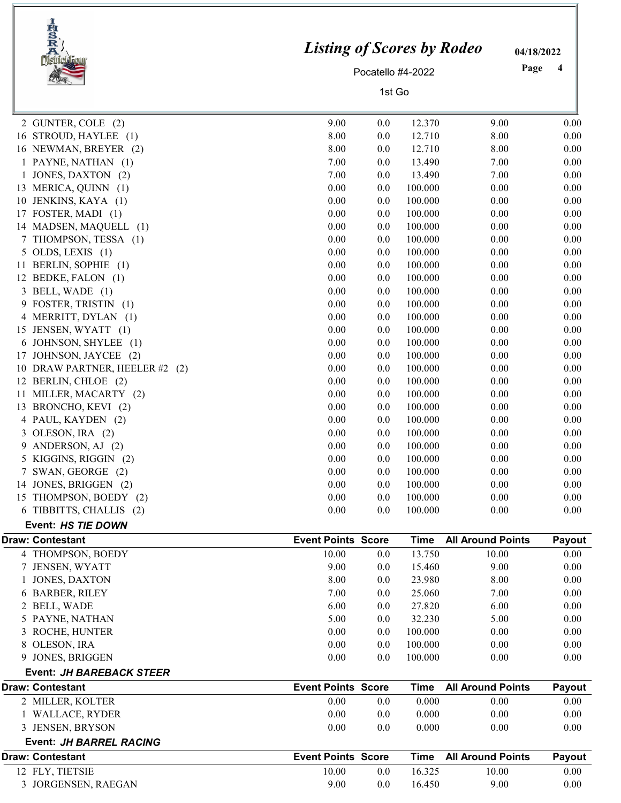| <b>IHSRA</b><br><b>District:</b>              | <b>Listing of Scores by Rodeo</b> |                   |             |                          | 04/18/2022 |                         |
|-----------------------------------------------|-----------------------------------|-------------------|-------------|--------------------------|------------|-------------------------|
|                                               |                                   | Pocatello #4-2022 |             |                          | Page       | $\overline{\mathbf{4}}$ |
|                                               |                                   | 1st Go            |             |                          |            |                         |
| 2 GUNTER, COLE (2)                            | 9.00                              | 0.0               | 12.370      | 9.00                     |            | 0.00                    |
| 16 STROUD, HAYLEE (1)                         | 8.00                              | 0.0               | 12.710      | 8.00                     |            | 0.00                    |
| 16 NEWMAN, BREYER (2)                         | 8.00                              | 0.0               | 12.710      | 8.00                     |            | 0.00                    |
| 1 PAYNE, NATHAN (1)                           | 7.00                              | 0.0               | 13.490      | 7.00                     |            | 0.00                    |
| JONES, DAXTON (2)<br>1                        | 7.00                              | 0.0               | 13.490      | 7.00                     |            | 0.00                    |
| 13 MERICA, QUINN (1)                          | 0.00                              | 0.0               | 100.000     | 0.00                     |            | 0.00                    |
| JENKINS, KAYA (1)<br>10                       | 0.00                              | 0.0               | 100.000     | 0.00                     |            | 0.00                    |
| 17 FOSTER, MADI (1)                           | 0.00                              | 0.0               | 100.000     | 0.00                     |            | 0.00                    |
| 14 MADSEN, MAQUELL (1)                        | 0.00                              | 0.0               | 100.000     | 0.00                     |            | 0.00                    |
| 7 THOMPSON, TESSA (1)                         | 0.00                              | 0.0               | 100.000     | 0.00                     |            | 0.00                    |
| $5$ OLDS, LEXIS $(1)$                         | 0.00                              | 0.0               | 100.000     | 0.00                     |            | 0.00                    |
| BERLIN, SOPHIE (1)<br>11                      | 0.00                              | 0.0               | 100.000     | 0.00                     |            | 0.00                    |
| 12 BEDKE, FALON (1)                           | 0.00                              | 0.0               | 100.000     | 0.00                     |            | 0.00                    |
| 3 BELL, WADE (1)                              | 0.00                              | 0.0               | 100.000     | 0.00                     |            | 0.00                    |
| 9 FOSTER, TRISTIN (1)                         | 0.00                              | 0.0               | 100.000     | 0.00                     |            | 0.00                    |
| 4 MERRITT, DYLAN (1)                          | 0.00                              | 0.0               | 100.000     | 0.00                     |            | 0.00                    |
| 15 JENSEN, WYATT (1)                          | 0.00                              | 0.0               | 100.000     | 0.00                     |            | 0.00                    |
| JOHNSON, SHYLEE (1)<br>6                      | 0.00                              | 0.0               | 100.000     | 0.00                     |            | 0.00                    |
| JOHNSON, JAYCEE (2)<br>17                     | 0.00                              | 0.0               | 100.000     | 0.00                     |            | 0.00                    |
| 10 DRAW PARTNER, HEELER #2 (2)                | 0.00                              | 0.0               | 100.000     | 0.00                     |            | 0.00                    |
| 12 BERLIN, CHLOE (2)                          | 0.00                              | 0.0               | 100.000     | 0.00                     |            | 0.00                    |
| MILLER, MACARTY (2)<br>11                     | 0.00                              | 0.0               | 100.000     | 0.00                     |            | 0.00                    |
| 13 BRONCHO, KEVI (2)                          | 0.00                              | 0.0               | 100.000     | 0.00                     |            | 0.00                    |
| 4 PAUL, KAYDEN (2)                            | 0.00                              | 0.0               | 100.000     | 0.00                     |            | 0.00                    |
| OLESON, IRA (2)<br>3                          | 0.00                              | 0.0               | 100.000     | 0.00                     |            | 0.00                    |
| 9 ANDERSON, AJ (2)                            | 0.00                              | 0.0               | 100.000     | 0.00                     |            | 0.00                    |
| 5 KIGGINS, RIGGIN (2)                         | 0.00                              | 0.0               | 100.000     | 0.00                     |            | 0.00                    |
| 7 SWAN, GEORGE (2)                            | 0.00                              | 0.0               | 100.000     | 0.00                     |            | 0.00                    |
| 14 JONES, BRIGGEN (2)                         | 0.00                              | 0.0               | 100.000     | 0.00                     |            | 0.00                    |
| 15 THOMPSON, BOEDY (2)                        | 0.00                              | 0.0               | 100.000     | 0.00                     |            | 0.00                    |
| 6 TIBBITTS, CHALLIS (2)<br>Event: HS TIE DOWN | 0.00                              | 0.0               | 100.000     | 0.00                     |            | 0.00                    |
| <b>Draw: Contestant</b>                       | <b>Event Points Score</b>         |                   | <b>Time</b> | <b>All Around Points</b> |            | Payout                  |
| 4 THOMPSON, BOEDY                             | 10.00                             | 0.0               | 13.750      | 10.00                    |            | $0.00\,$                |
| 7 JENSEN, WYATT                               | 9.00                              | 0.0               | 15.460      | 9.00                     |            | 0.00                    |
| <b>JONES, DAXTON</b>                          | 8.00                              | 0.0               | 23.980      | 8.00                     |            | 0.00                    |
| 6 BARBER, RILEY                               | 7.00                              | 0.0               | 25.060      | 7.00                     |            | 0.00                    |
| 2 BELL, WADE                                  | 6.00                              | 0.0               | 27.820      | 6.00                     |            | 0.00                    |
| 5 PAYNE, NATHAN                               | 5.00                              | 0.0               | 32.230      | 5.00                     |            | 0.00                    |
| 3 ROCHE, HUNTER                               | 0.00                              | 0.0               | 100.000     | 0.00                     |            | 0.00                    |
| OLESON, IRA<br>8                              | 0.00                              | 0.0               | 100.000     | 0.00                     |            | 0.00                    |
| 9 JONES, BRIGGEN                              | 0.00                              | 0.0               | 100.000     | 0.00                     |            | 0.00                    |
| Event: JH BAREBACK STEER                      |                                   |                   |             |                          |            |                         |
| <b>Draw: Contestant</b>                       | <b>Event Points Score</b>         |                   | <b>Time</b> | <b>All Around Points</b> |            | Payout                  |
| 2 MILLER, KOLTER                              | 0.00                              | 0.0               | 0.000       | 0.00                     |            | $0.00\,$                |
| 1 WALLACE, RYDER                              | 0.00                              | 0.0               | 0.000       | 0.00                     |            | 0.00                    |
| 3 JENSEN, BRYSON                              | 0.00                              | 0.0               | 0.000       | 0.00                     |            | 0.00                    |
| <b>Event: JH BARREL RACING</b>                |                                   |                   |             |                          |            |                         |
| <b>Draw: Contestant</b>                       | <b>Event Points Score</b>         |                   | <b>Time</b> | <b>All Around Points</b> |            | Payout                  |
| 12 FLY, TIETSIE                               | 10.00                             | 0.0               | 16.325      | 10.00                    |            | 0.00                    |
| 3 JORGENSEN, RAEGAN                           | 9.00                              | 0.0               | 16.450      | 9.00                     |            | 0.00                    |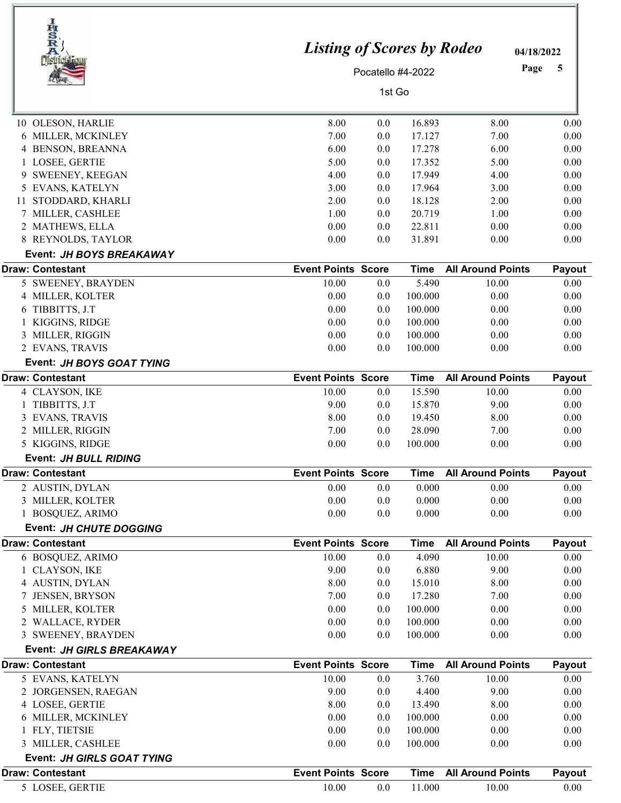| IRSRA                                      | <b>Listing of Scores by Rodeo</b> |                   |                  |                                  | 04/18/2022     |
|--------------------------------------------|-----------------------------------|-------------------|------------------|----------------------------------|----------------|
|                                            |                                   | Pocatello #4-2022 |                  |                                  | Page<br>5      |
|                                            |                                   | 1st Go            |                  |                                  |                |
|                                            |                                   |                   |                  |                                  |                |
| 10 OLESON, HARLIE                          | 8.00                              | 0.0               | 16.893           | 8.00                             | 0.00           |
| 6 MILLER, MCKINLEY                         | 7.00                              | 0.0               | 17.127           | 7.00                             | 0.00           |
| 4 BENSON, BREANNA                          | 6.00                              | 0.0               | 17.278           | 6.00                             | 0.00           |
| 1 LOSEE, GERTIE                            | 5.00                              | 0.0               | 17.352           | 5.00                             | 0.00           |
| SWEENEY, KEEGAN                            | 4.00                              | 0.0               | 17.949           | 4.00                             | 0.00           |
| 5 EVANS, KATELYN                           | 3.00                              | 0.0               | 17.964           | 3.00                             | 0.00           |
| STODDARD, KHARLI<br>11                     | 2.00                              | 0.0               | 18.128           | 2.00                             | 0.00           |
| 7 MILLER, CASHLEE                          | 1.00                              | 0.0               | 20.719<br>22.811 | 1.00                             | 0.00           |
| 2 MATHEWS, ELLA<br>8 REYNOLDS, TAYLOR      | 0.00<br>0.00                      | 0.0<br>0.0        | 31.891           | 0.00<br>0.00                     | 0.00<br>0.00   |
| Event: JH BOYS BREAKAWAY                   |                                   |                   |                  |                                  |                |
| <b>Draw: Contestant</b>                    | <b>Event Points Score</b>         |                   | <b>Time</b>      | <b>All Around Points</b>         | Payout         |
| 5 SWEENEY, BRAYDEN                         | 10.00                             | 0.0               | 5.490            | 10.00                            | 0.00           |
| 4 MILLER, KOLTER                           | 0.00                              | 0.0               | 100.000          | 0.00                             | 0.00           |
| 6 TIBBITTS, J.T                            | 0.00                              | 0.0               | 100.000          | 0.00                             | 0.00           |
| 1 KIGGINS, RIDGE                           | 0.00                              | 0.0               | 100.000          | 0.00                             | 0.00           |
| 3 MILLER, RIGGIN                           | 0.00                              | 0.0               | 100.000          | 0.00                             | 0.00           |
| 2 EVANS, TRAVIS                            | 0.00                              | 0.0               | 100.000          | 0.00                             | 0.00           |
| Event: JH BOYS GOAT TYING                  |                                   |                   |                  |                                  |                |
| <b>Draw: Contestant</b>                    | <b>Event Points Score</b>         |                   | <b>Time</b>      | <b>All Around Points</b>         | Payout         |
| 4 CLAYSON, IKE                             | 10.00                             | 0.0               | 15.590           | 10.00                            | 0.00           |
| 1 TIBBITTS, J.T                            | 9.00                              | $0.0\,$           | 15.870           | 9.00                             | 0.00           |
| 3 EVANS, TRAVIS                            | 8.00                              | 0.0               | 19.450           | 8.00                             | 0.00           |
| 2 MILLER, RIGGIN                           | 7.00                              | 0.0               | 28.090           | 7.00                             | 0.00           |
| 5 KIGGINS, RIDGE                           | 0.00                              | 0.0               | 100.000          | 0.00                             | 0.00           |
| Event: JH BULL RIDING                      |                                   |                   |                  |                                  |                |
| <b>Draw: Contestant</b><br>2 AUSTIN, DYLAN | <b>Event Points Score</b><br>0.00 | 0.0               | Time<br>0.000    | <b>All Around Points</b><br>0.00 | Payout<br>0.00 |
| 3 MILLER, KOLTER                           | 0.00                              | 0.0               | 0.000            | 0.00                             | 0.00           |
| 1 BOSQUEZ, ARIMO                           | 0.00                              | 0.0               | 0.000            | 0.00                             | 0.00           |
| Event: JH CHUTE DOGGING                    |                                   |                   |                  |                                  |                |
| <b>Draw: Contestant</b>                    | <b>Event Points Score</b>         |                   | <b>Time</b>      | <b>All Around Points</b>         | Payout         |
| 6 BOSQUEZ, ARIMO                           | 10.00                             | 0.0               | 4.090            | 10.00                            | 0.00           |
| 1 CLAYSON, IKE                             | 9.00                              | 0.0               | 6.880            | 9.00                             | 0.00           |
| 4 AUSTIN, DYLAN                            | 8.00                              | 0.0               | 15.010           | 8.00                             | 0.00           |
| 7 JENSEN, BRYSON                           | 7.00                              | 0.0               | 17.280           | 7.00                             | 0.00           |
| 5 MILLER, KOLTER                           | 0.00                              | 0.0               | 100.000          | 0.00                             | 0.00           |
| 2 WALLACE, RYDER                           | 0.00                              | 0.0               | 100.000          | 0.00                             | 0.00           |
| 3 SWEENEY, BRAYDEN                         | 0.00                              | 0.0               | 100.000          | 0.00                             | 0.00           |
| Event: JH GIRLS BREAKAWAY                  |                                   |                   |                  |                                  |                |
| <b>Draw: Contestant</b>                    | <b>Event Points Score</b>         |                   | <b>Time</b>      | <b>All Around Points</b>         | Payout         |
| 5 EVANS, KATELYN                           | 10.00<br>9.00                     | 0.0               | 3.760<br>4.400   | 10.00<br>9.00                    | 0.00           |
| 2 JORGENSEN, RAEGAN<br>4 LOSEE, GERTIE     | 8.00                              | 0.0<br>0.0        | 13.490           | 8.00                             | 0.00<br>0.00   |
| 6 MILLER, MCKINLEY                         | 0.00                              | 0.0               | 100.000          | 0.00                             | 0.00           |
| 1 FLY, TIETSIE                             | 0.00                              | 0.0               | 100.000          | 0.00                             | 0.00           |
| 3 MILLER, CASHLEE                          | 0.00                              | 0.0               | 100.000          | 0.00                             | 0.00           |
| Event: JH GIRLS GOAT TYING                 |                                   |                   |                  |                                  |                |
| <b>Draw: Contestant</b>                    | <b>Event Points Score</b>         |                   | <b>Time</b>      | <b>All Around Points</b>         | Payout         |
| 5 LOSEE, GERTIE                            | 10.00                             | 0.0               | 11.000           | 10.00                            | 0.00           |